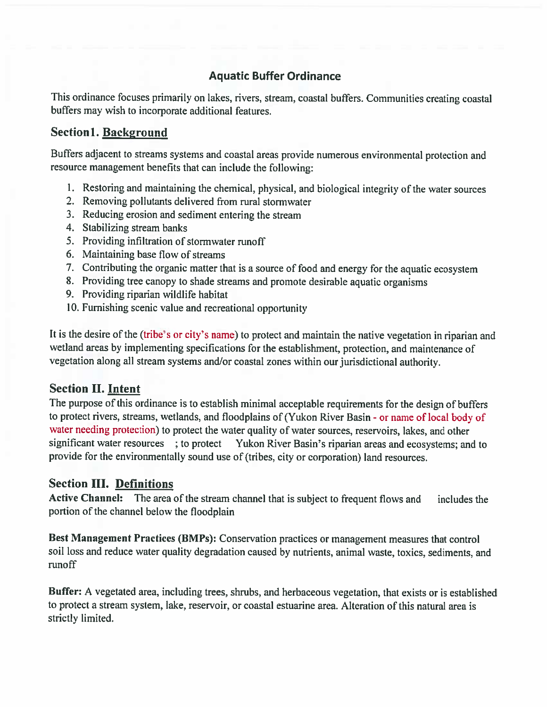## Aquatic Buffer Ordinance

This ordinance focuses primarily on lakes, rivers, stream, coastal buffers. Communities creating coastal buffers may wish to incorporate additional features.

### Section 1. Background

Buffers adjacent to streams systems and coastal areas provide numerous environmental protection and resource managemen<sup>t</sup> benefits that can include the following:

- I. Restoring and maintaining the chemical, <sup>p</sup>hysical, and biological integrity of the water sources
- 2. Removing pollutants delivered from rural stormwater
- 3. Reducing erosion and sediment entering the stream
- 4. Stabilizing stream banks
- 5. Providing infiltration of stormwater runoff
- 6. Maintaining base flow of streams
- 7. Contributing the organic matter that is <sup>a</sup> source of food and energy for the aquatic ecosystem
- 8. Providing tree canopy to shade streams and promote desirable aquatic organisms
- 9. Providing riparian wildlife habitat
- 10. Furnishing scenic value and recreational opportunity

It is the desire of the (tribe's or city's name) to protect and maintain the native vegetation in riparian and wetland areas by implementing specifications for the establishment, protection, and maintenance of vegetation along all stream systems and/or coastal zones within our jurisdictional authority.

### Section II. Intent

The purpose of this ordinance is to establish minimal acceptable requirements for the design of buffers to protect rivers, streams, wetlands, and floodplains of (Yukon River Basin - or name of local body of water needing protection) to protect the water quality of water sources, reservoirs, lakes, and other significant water resources ; to protect Yukon River Basin's riparian areas and ecosystems; and to provide for the environmentally sound use of (tribes, city or corporation) land resources.

### Section III. Definitions

Active Channel: The area of the stream channel that is subject to frequent flows and includes the portion of the channel below the floodplain

Best Management Practices (BMPs): Conservation practices or management measures that control soil loss and reduce water quality degradation caused by nutrients, animal waste, toxics, sediments, and runoff

Buffer: <sup>A</sup> vegetated area, including trees, shrubs, and herbaceous vegetation, that exists or is established to protect a stream system, lake, reservoir, or coastal estuarine area. Alteration of this natural area is strictly limited.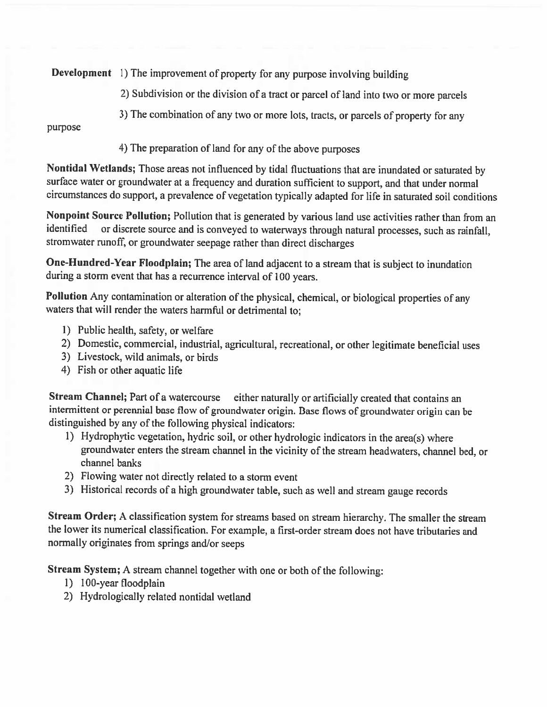Development 1) The improvement of property for any purpose involving building

- 2) Subdivision or the division of <sup>a</sup> tract or parcel of land into two or more parcels
- 3) The combination of any two or more lots, tracts, or parcels of property for any

purpose

4) The preparation of land for any of the above purposes

Nontidal Wetlands; Those areas not influenced by tidal fluctuations that are inundated or saturated by surface waler or groundwater at <sup>a</sup> frequency and duration sufficient to support, and that under normal circumstances do support, <sup>a</sup> prevalence of vegetation typically adapted for life in saturated soil conditions

Nonpoint Source Pollution; Pollution that is generated by various land use activities rather than from an identified or discrete source and is conveyed to waterways through natural processes, such as rainfall, stromwater runoff; or groundwater seepage rather than direct discharges

One-Hundred-Year Floodplain; The area of land adjacent to <sup>a</sup> stream that is subject to inundation during <sup>a</sup> storm event that has <sup>a</sup> recurrence interval of <sup>100</sup> years.

Pollution Any contamination or alteration of the <sup>p</sup>hysical, chemical, or biological properties of any waters that will render the waters harmful or detrimental to;

- 1) Public health, safety, or welfare
- 2) Domestic, commercial, industrial, agricultural, recreational, or other legitimate beneficial uses
- 3) Livestock, wild animals, or birds
- 4) Fish or other aquatic life

Stream Channel; Part of a watercourse either naturally or artificially created that contains an intermittent or perennial base flow of groundwater origin. Base flows of groundwater origin can be distinguished by any of the following <sup>p</sup>hysical indicators:

- 1) Hydrophytic vegetation, hydric soil, or other hydrologic indicators in the area(s) where groundwater enters the stream channel in the vicinity of the stream headwaters. channel bed, or channel banks
- 2) Flowing water not directly related to <sup>a</sup> storm event
- 3) Historical records of <sup>a</sup> high groundwater table, such as well and stream gauge records

Stream Order; <sup>A</sup> classification system for streams based on stream hierarchy. The smaller the stream the lower its numerical classification. For example, <sup>a</sup> first-order stream does not have tributaries and normally originates from springs and/or seeps

Stream System; <sup>A</sup> stream channel together with one or both of the following:

- 1) 100-year floodplain
- 2) Hydrologically related nontidal wetland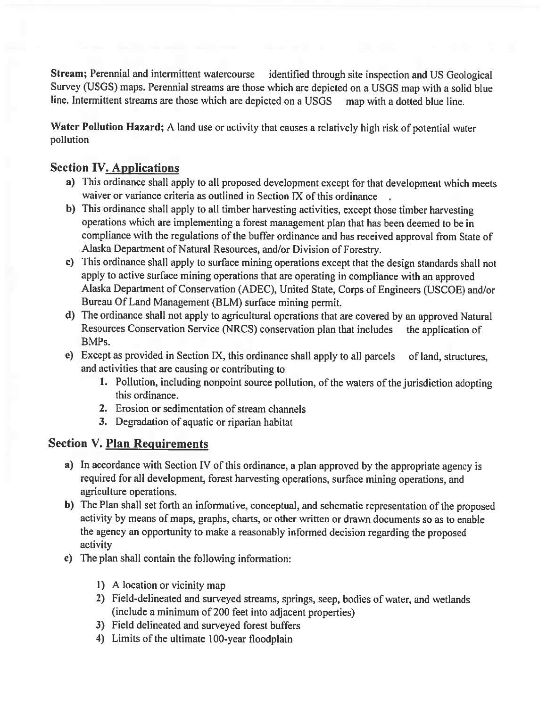Stream; Perennial and intermittent watercourse identified through site inspection and US Geological Survey (USGS) maps. Perennial streams are those which are depicted on <sup>a</sup> USGS map with <sup>a</sup> solid blue line. Intermittent streams are those which are depicted on <sup>a</sup> USGS map with <sup>a</sup> dotted blue line.

Water Pollution Hazard; <sup>A</sup> land use or activity that causes <sup>a</sup> relatively high risk of potential water pollution

## Section IV. Applications

- a) This ordinance shall apply to all propose<sup>d</sup> development excep<sup>t</sup> for that development which meets waiver or variance criteria as outlined in Section IX of this ordinance
- b) This ordinance shall apply to all timber harvesting activities, excep<sup>t</sup> those timber harvesting operations which are implementing <sup>a</sup> forest managemen<sup>t</sup> <sup>p</sup>lan that has been deemed to be in compliance with the regulations of the buffer ordinance and has received approva<sup>l</sup> from State of Alaska Department of Natural Resources, and/or Division of Forestry.
- c) This ordinance shall apply to surface mining operations excep<sup>t</sup> that the design standards shall not apply to active surface mining operations that are operating in compliance with an approve<sup>d</sup> Alaska Department of Conservation (ADEC), United State, Corps of Engineers (USCOE) and/or Bureau Of Land Management (BLM) surface mining permit.
- d) The ordinance shall not apply to agricultural operations that are covered by an approve<sup>d</sup> Natural Resources Conservation Service (NRCS) conservation plan that includes the application of BMPs.
- e) Except as provided in Section IX, this ordinance shall apply to all parcels of land, structures, and activities that are causing or contributing to
	- 1. Pollution, including nonpoint source pollution, of the waters of the jurisdiction adopting this ordinance.
	- 2. Erosion or sedimentation of stream channels
	- 3. Degradation of aquatic or riparian habitat

### Section V. Plan Requirements

- a) In accordance with Section IV of this ordinance, <sup>a</sup> <sup>p</sup>lan approve<sup>d</sup> by the appropriate agency is required for all development, forest harvesting operations, surface mining operations, and agriculture operations.
- b) The Plan shall set forth an informative, conceptual, and schematic representation of the propose<sup>d</sup> activity by means of maps, graphs, charts, or other written or drawn documents so as to enable the agency an opportunity to make <sup>a</sup> reasonably informed decision regarding the propose<sup>d</sup> activity
- c) The <sup>p</sup>lan shall contain the following information:
	- I) A location or vicinity map
	- 2) Field-delineated and surveye<sup>d</sup> streams, springs, seep, bodies of water, and wetlands (include <sup>a</sup> minimum of 200 feet into adjacent properties)
	- 3) Field delineated and surveyed forest buffers
	- 4) Limits of the ultimate 100-year floodplain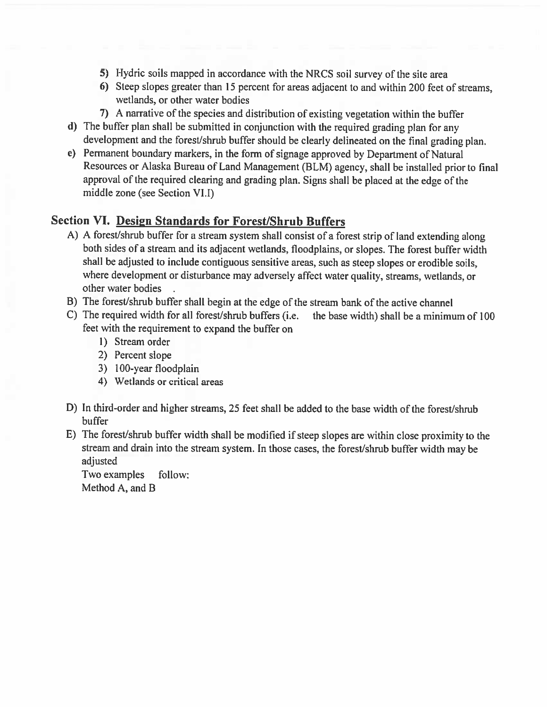- 5) Hydric soils mappe<sup>d</sup> in accordance with the NRCS soil survey of the site area
- 6) Steep slopes greater than 15 percen<sup>t</sup> for areas adjacent to and within 200 feet of streams, wetlands, or other water bodies
- 7) <sup>A</sup> narrative of the species and distribution of existing vegetation within the buffer
- d) The buffer <sup>p</sup>lan shall be submitted in conjunction with the required grading <sup>p</sup>lan for any development and the forest/shrub buffer should be clearly delineated on the final grading <sup>p</sup>lan.
- e) Permanent boundary markers, in the form of signage approve<sup>d</sup> by Department of Natural Resources or Alaska Bureau of Land Management (BLM) agency, shall be installed prior to final approva<sup>l</sup> of the required clearing and grading <sup>p</sup>lan. Signs shall be <sup>p</sup>laced at the edge of the middle zone (see Section VI.I)

#### Section VI. Design Standards for Forest/Shrub Buffers

- A) <sup>A</sup> forest/shrub buffer for <sup>a</sup> stream system shall consist of <sup>a</sup> forest strip of land extending along both sides of <sup>a</sup> stream and its adjacent wetlands, floodplains, or slopes. The forest buffer width shall be adjusted to include contiguous sensitive areas, such as steep slopes or erodible soils, where development or disturbance may adversely affect water quality, streams, wetlands, or other water bodies
- B) The forest/shrub buffer shall begin at the edge of the stream bank of the active channel
- C) The required width for all forest/shrub buffers (i.e. the base width) shall be <sup>a</sup> minimum of 100 feet with the requirement to expand the buffer on
	- 1) Stream order
	- 2) Percent slope
	- 3) 100-year floodplain
	- 4) Wetlands or critical areas
- D) In third-order and higher streams, 25 feet shall be added to the base width of the forest/shrub buffer
- E) The forest/shrub buffer width shall be modified if steep slopes are within close proximity to the stream and drain into the stream system. In those cases, the forest/shrub buffer width may be adjusted

Two examples follow: Method A, and B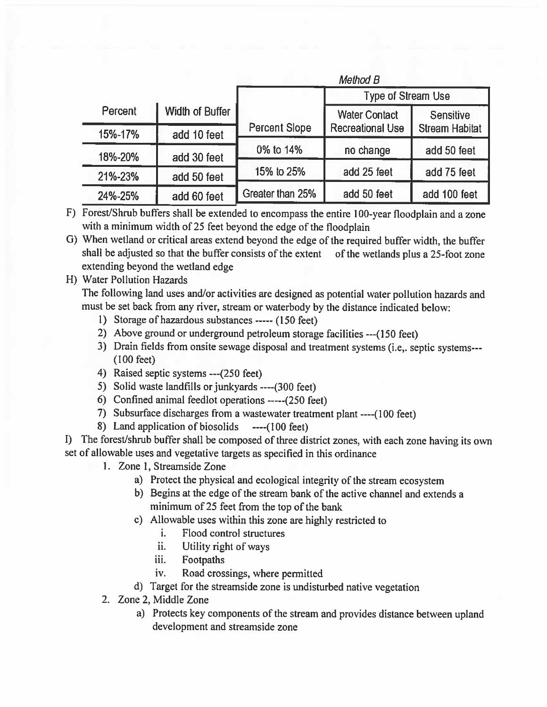|         |                 | Method B             |                           |                       |
|---------|-----------------|----------------------|---------------------------|-----------------------|
|         |                 |                      | <b>Type of Stream Use</b> |                       |
| Percent | Width of Buffer |                      | <b>Water Contact</b>      | Sensitive             |
| 15%-17% | add 10 feet     | <b>Percent Slope</b> | <b>Recreational Use</b>   | <b>Stream Habitat</b> |
| 18%-20% | add 30 feet     | 0% to 14%            | no change                 | add 50 feet           |
| 21%-23% | add 50 feet     | 15% to 25%           | add 25 feet               | add 75 feet           |
| 24%-25% | add 60 feet     | Greater than 25%     | add 50 feet               | add 100 feet          |

F) Forest/Shrub buffers shall be extended to encompass the entire 100-year floodplain and a zone with <sup>a</sup> minimum width of <sup>25</sup> feet beyond the edge of the floodplain

0) When wetland or critical areas extend beyond the edge of the required buffer width, the buffer shall be adjusted so that the buffer consists of the extent of the wetlands <sup>p</sup>lus <sup>a</sup> 25-foot zone extending beyond the wetland edge

#### H) Water Pollution Hazards

The following land uses and/or activities are designed as potential water pollution hazards and must be set back from any river, stream or waterbody by the distance indicated below:

- 1) Storage of hazardous substances ----- (150 feet)
- 2) Above ground or underground petroleum storage facilities ---(150 feet)
- 3) Drain fields from onsite sewage disposal and treatment systems (i.e,. septic systems--- (100 feet)
- 4) Raised septic systems ---(250 feet)
- 5) Solid waste landfills or junkyards ----(300 feet)
- 6) Confined animal feedlot operations  $---(250$  feet)
- 7) Subsurface discharges from <sup>a</sup> vastewater treatment <sup>p</sup>lant ----(100 feet)
- 8) Land application of biosolids ----(100 feet)

I) The forest/shrub buffer shall be composed of three district zones, with each zone having its own set of allowable uses and vegetative targets as specified in this ordinance

- 1. Zone 1. Streamside Zone
	- a) Protect the <sup>p</sup>hysical and ecological integrity of the stream ecosystem
	- b) Begins at the edge of the stream bank of the active channel and extends <sup>a</sup> minimum of 25 feet from the top of the bank
	- c) Allowable uses within this zone are highly restricted to
		- i. Flood control structures
		- ii. Utility right of ways
		- iii. Footpaths
		- iv. Road crossings, where permitted
	- d) Target for the streamside zone is undisturbed native vegetation
- 2. Zone 2, Middle Zone
	- a) Protects key components of the stream and provides distance between upland development and streamside zone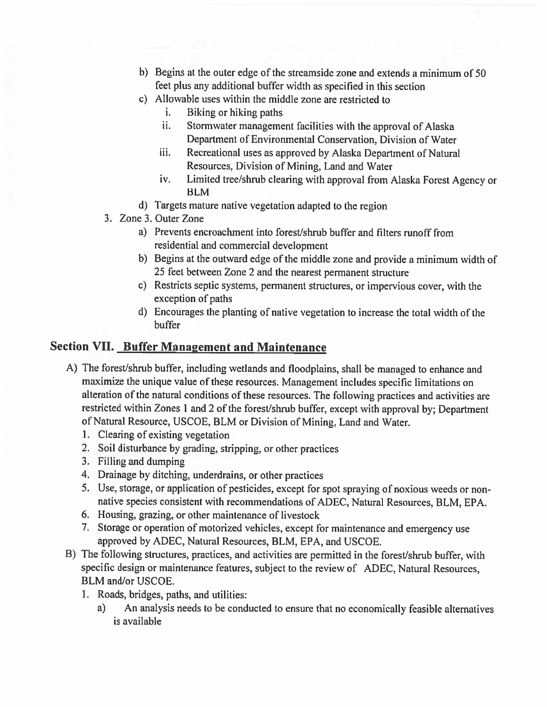- b) Begins at the outer edge of the streamside zone and extends <sup>a</sup> minimum of 50 feet <sup>p</sup>lus any additional buffer width as specified in this section
- c) Allowable uses within the middle zone are restricted to
	- i. Biking or hiking paths
	- ii. Stormwater managemen<sup>t</sup> facilities with the approval of Alaska Department of Environmental Conservation, Division of Water
	- iii. Recreational uses as approve<sup>d</sup> by Alaska Department of Natural Resources, Division of Mining, Land and Water
	- iv. Limited tree/shrub clearing with approva<sup>l</sup> from Alaska Forest Agency or BLM
- d) Targets mature native vegetation adapted to the region
- 3. Zone 3. Outer Zone
	- a) Prevents encroachment into forest/shrub buffer and filters runoff from residential and commercial development
	- b) Begins at the outward edge of the middle zone and provide <sup>a</sup> minimum width of 25 feet between Zone 2 and the nearest permanen<sup>t</sup> structure
	- c) Restricts septic systems, permanen<sup>t</sup> structures, or impervious cover, with the exception of paths
	- d) Encourages the planting of native vegetation to increase the total width of the buffer

### Section VII. Buffer Management and Maintenance

- A) The forest/shrub buffer, including wetlands and floodplains, shall be manage<sup>d</sup> to enhance and maximize the unique value of these resources. Management includes specific limitations on alteration of the natural conditions of these resources. The following practices and activities are restricted within Zones <sup>1</sup> and <sup>2</sup> of the forest/shrub buffer, excep<sup>t</sup> with approva<sup>l</sup> by; Department of Natural Resource. USCOE. BLM or Division of Mining, Land and Water.
	- 1. Clearing of existing vegetation
	- 2. Soil disturbance by grading. stripping, or other practices
	- 3. Filling and dumping
	- 4. Drainage by ditching, underdrains, or other practices
	- 5. Use, storage, or application of pesticides, excep<sup>t</sup> for spo<sup>t</sup> spraying of noxious weeds or nonnative species consistent with recommendations of ADEC, Natural Resources, BLM, EPA.
	- 6. Housing, grazing, or other maintenance of livestock
	- 7. Storage or operation of motorized vehicles, excep<sup>t</sup> for maintenance and emergency use approved by ADEC, Natural Resources, BLM, EPA, and USCOE.
- B) The following structures, practices, and activities are permitted in the forest/shrub buffer, with specific design or maintenance features, subject to the review of ADEC. Natural Resources, BLM and/or USCOE.
	- 1. Roads, bridges, paths, and utilities:
		- a) An analysis needs to be conducted to ensure that no economically feasible alternatives is available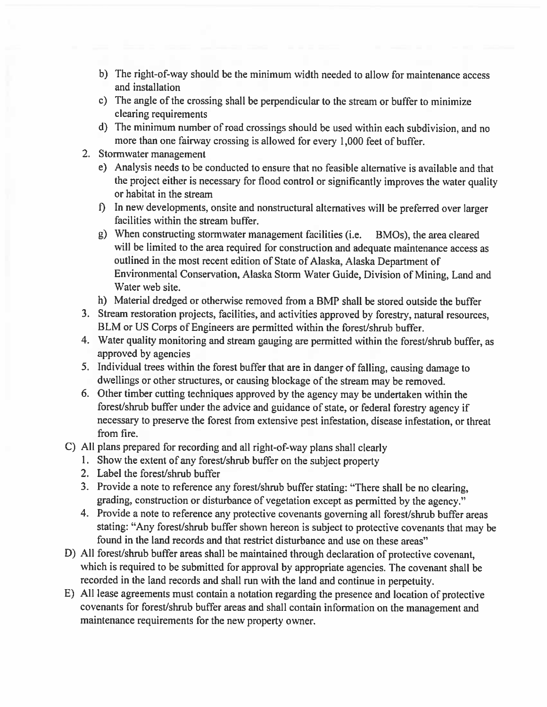- b) The right-of-way should be the minimum width needed to allow for maintenance access and installation
- c) The angle of the crossing shall be perpendicular to the stream or buffer to minimize clearing requirements
- d) The minimum number of road crossings should be used within each subdivision, and no more than one fairway crossing is allowed for every 1,000 feet of buffer.
- 2. Stormwater managemen<sup>t</sup>
	- e) Analysis needs to be conducted to ensure that no feasible alternative is available and that the project either is necessary for flood control or significantly improves the water quality or habitat in the stream
	- f) In new developments, onsite and nonstructural alternatives will be preferred over larger facilities within the stream buffer.
	- g) When constructing stormwater managemen<sup>t</sup> facilities (i.e. BMOs), the area cleared will be limited to the area required for construction and adequate maintenance access as outlined in the most recent edition of State of Alaska, Alaska Department of Environmental Conservation. Alaska Storm Water Guide, Division of Mining, Land and Water web site.
	- h) Material dredged or otherwise removed from <sup>a</sup> BMP shall be stored outside the buffer
- 3. Stream restoration projects, facilities, and activities approve<sup>d</sup> by forestry, natural resources, BLM or US Corps of Engineers are permitted within the forest/shrub buffer.
- 4. Water quality monitoring and stream gauging are permitted within the forest/shrub buffer, as approved by agencies
- 5. Individual trees within the forest buffer that are in danger of falling, causing damage to dwellings or other structures, or causing blockage of the stream may be removed.
- 6. Other timber cutting techniques approve<sup>d</sup> by the agency may be undertaken within the forest/shrub buffer under the advice and guidance of state, or federal forestry agency if necessary to preserve the forest from extensive pes<sup>t</sup> infestation, disease infestation, or threat from fire.
- C) All <sup>p</sup>lans prepare<sup>d</sup> for recording and all right-of-way <sup>p</sup>lans shall clearly
	- I. Show the extent of any forest/shrub buffer on the subject property
	- 2. Label the forest/shrub buffer
	- 3. Provide <sup>a</sup> note to reference any forest/shrub buffer stating: "There shall be no clearing, grading, construction or disturbance of vegetation excep<sup>t</sup> as permitted by the agency."
	- 4. Provide <sup>a</sup> note to reference any protective covenants governing all forest/shrub buffer areas stating: "Any forest/shrub buffer shown hereon is subject to protective covenants that may be found in the land records and that restrict disturbance and use on these areas"
- D) All forest/shrub buffer areas shall be maintained through declaration of protective covenant. which is required to be submitted for approva<sup>l</sup> by appropriate agencies. The covenant shall be recorded in the land records and shall run with the land and continue in perpetuity.
- E) All lease agreements must contain <sup>a</sup> notation regarding the presence and location of protective covenants for forest/shrub buffer areas and shall contain information on the managemen<sup>t</sup> and maintenance requirements for the new property owner.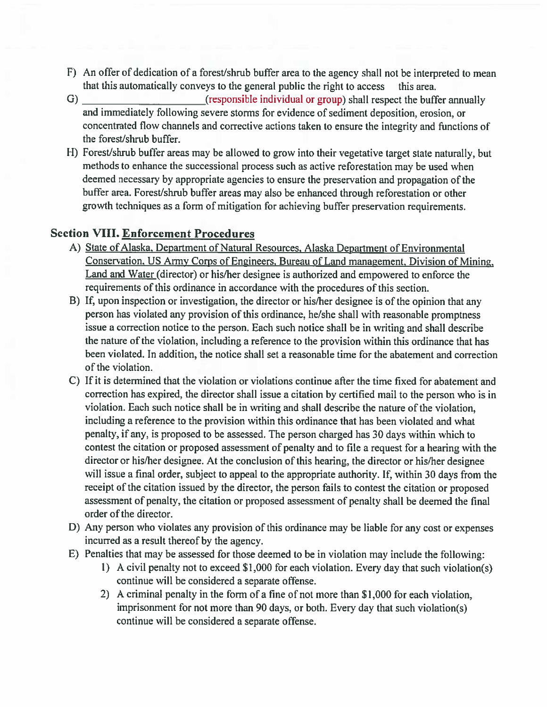- F) An offer of dedication of a forest/shrub buffer area to the agency shall not be interpreted to mean that this automatically conveys to the genera<sup>l</sup> public the right to access this area.
- G) (responsible individual or group) shall respect the buffer annually and immediately following severe storms for evidence of sediment deposition, erosion, or concentrated flow channels and corrective actions taken to ensure the integrity and functions of the forest/shrub buffer.
- H) Forest/shrub buffer areas may be allowed to grow into their vegetative target state naturally, but methods to enhance the successional process such as active reforestation may be used when deemed necessary by appropriate agencies to ensure the preservation and propagation of the buffer area. Forest/shrub buffer areas may also be enhanced through reforestation or other growth techniques as <sup>a</sup> form of mitigation for achieving buffer preservation requirements.

### Section VIII. Enforcement Procedures

- A) State of Alaska, Department of Natural Resources, Alaska Department of Environmental Conservation. US Army Corps of Engineers, Bureau of Land management. Division of Mining. Land and Water (director) or his/her designee is authorized and empowered to enforce the requirements of this ordinance in accordance with the procedures of this section.
- B) If. upon inspection or investigation, the director or his/her designee is of the opinion that any person has violated any provision of this ordinance, he/she shall with reasonable promptness issue <sup>a</sup> correction notice to the person. Each such notice shall be in writing and shall describe the nature of the violation, including <sup>a</sup> reference to the provision within this ordinance that has been violated. In addition, the notice shall set a reasonable time for the abatement and correction of the violation.
- C) If it is determined that the violation or violations continue after the time fixed for abatement and correction has expired, the director shall issue <sup>a</sup> citation by certified mail to the person who is in violation. Each such notice shall be in writing and shall describe the nature of the violation, including <sup>a</sup> reference to the provision within this ordinance that has been violated and what penalty, if any, is proposed to be assessed. The person charged has 30 days within which to contest the citation or proposed assessment of penalty and to file <sup>a</sup> reques<sup>t</sup> for <sup>a</sup> hearing with the director or his/her designee. At the conclusion of this hearing, the director or his/her designee will issue a final order, subject to appeal to the appropriate authority. If, within 30 days from the receipt of the citation issued by the director, the person fails to contest the citation or proposed assessment of penalty, the citation or proposed assessment of penalty shall be deemed the final order of the director.
- D) Any person who violates any provision of this ordinance may be liable for any cost or expenses incurred as <sup>a</sup> result thereof by the agency.
- E) Penalties that may be assessed for those deemed to be in violation may include the following:
	- I) A civil penalty not to exceed \$1,000 for each violation. Every day that such violation(s) continue will be considered <sup>a</sup> separate offense.
	- 2) A criminal penalty in the form of <sup>a</sup> fine of not more than \$1,000 for each violation, imprisonment for not more than 90 days, or both. Every day that such violation(s) continue will be considered <sup>a</sup> separate offense.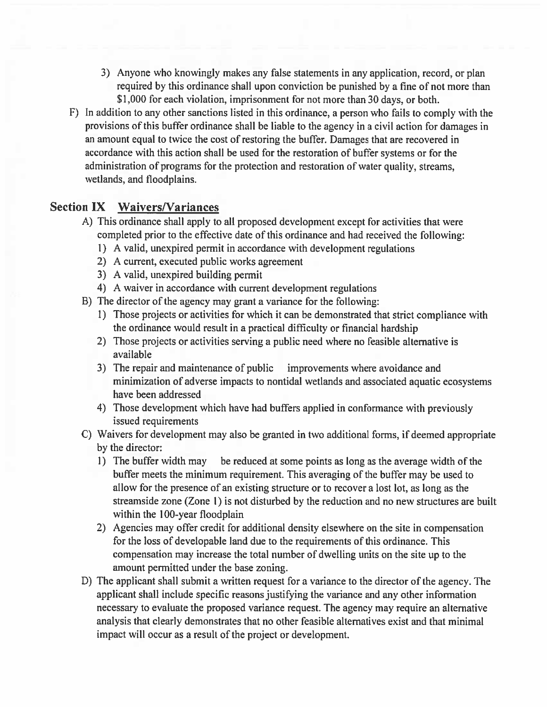- 3) Anyone who knowingly makes any false statements in any application, record, or plan required by this ordinance shall upon conviction be punished by <sup>a</sup> tine of not more than \$1,000 for each violation, imprisonment for not more than <sup>30</sup> days, or both.
- F) In addition to any other sanctions listed in this ordinance, <sup>a</sup> person who fails to comply with the provisions of this buffer ordinance shall be liable to the agency in <sup>a</sup> civil action for damages in an amount equal to twice the cost of restoring the buffer. Damages that are recovered in accordance with this action shall be used for the restoration of buffer systems or for the administration of programs for the protection and restoration of water quality, streams, wetlands, and floodplains.

#### Section IX Waivers/Variances

- A) This ordinance shall apply to all proposed development excep<sup>t</sup> for activities that were completed prior to the effective date of this ordinance and had received the following:
	- I) <sup>A</sup> valid, unexpired permit in accordance with development regulations
	- 2) A current, executed public works agreemen<sup>t</sup>
	- 3) A valid, unexpired building permit
	- 4) A waiver in accordance with current development regulations
- B) The director of the agency may gran<sup>t</sup> <sup>a</sup> variance for the following:
	- 1) Those projects or activities for which it can be demonstrated that strict compliance with the ordinance would result in <sup>a</sup> practical difficulty or financial hardship
	- 2) Those projects or activities serving <sup>a</sup> public need where no feasible alternative is available
	- 3) The repair and maintenance of public improvements where avoidance and minimization of adverse impacts to nontidal wetlands and associated aquatic ecosystems have been addressed
	- 4) Those development which have had buffers applied in conformance with previously issued requirements
- C) Waivers for development may also be granted in two additional forms, if deemed appropriate by the director:
	- 1) The buffer width may be reduced at some points as long as the average width of the buffer meets the minimum requirement. This averaging of the buffer may be used to allow for the presence of an existing structure or to recover <sup>a</sup> lost lot, as long as the streamside zone (Zone 1) is not disturbed by the reduction and no new structures are built within the 100-year floodplain
	- 2) Agencies may offer credit for additional density elsewhere on the site in compensation for the loss of developable land due to the requirements of this ordinance. This compensation may increase the total number of dwelling units on the site up to the amount permitted under the base zoning.
- D) The applicant shall submit <sup>a</sup> written reques<sup>t</sup> for <sup>a</sup> variance to the director of the agency. The applicant shall include specific reasons justifying the variance and any other information necessary to evaluate the proposed variance request. The agency may require an alternative analysis that clearly demonstrates that no other feasible alternatives exist and that minimal impact will occur as <sup>a</sup> result of the project or development.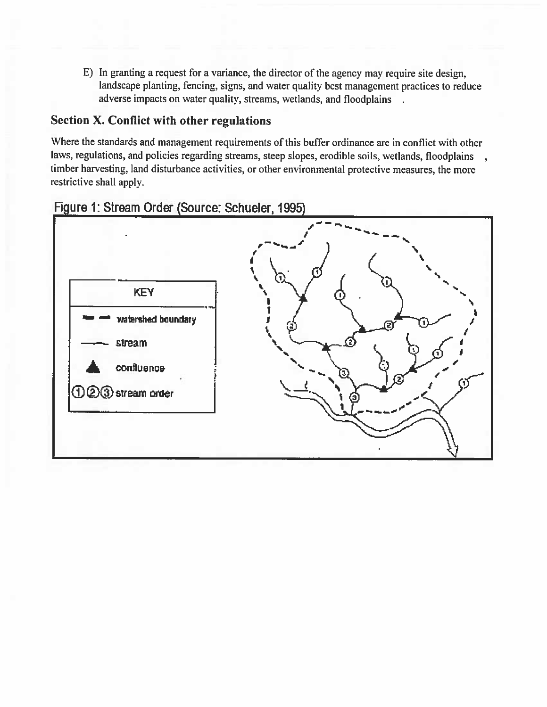E) In granting <sup>a</sup> reques<sup>t</sup> for <sup>a</sup> variance, the director of the agency may require site design, landscape <sup>p</sup>lanting, fencing, signs, and water quality best managemen<sup>t</sup> practices to reduce adverse impacts on water quality, streams, wetlands, and floodplains

### Section X. Conflict with other regulations

Where the standards and managemen<sup>t</sup> requirements of this buffer ordinance are in conflict with other laws, regulations, and policies regarding streams, steep slopes, erodible soils, wetlands, floodplains timber harvesting, land disturbance activities, or other environmental protective measures, the more restrictive shall apply.



# Figure 1: Stream Order (Source: Schueler, 1995)